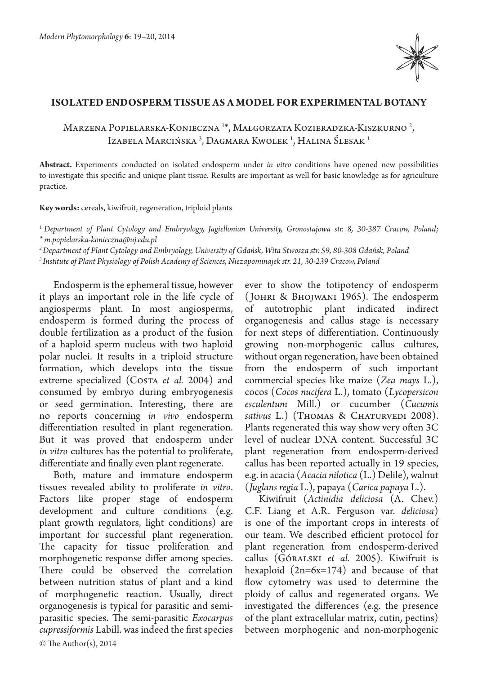

## **ISOLATED ENDOSPERM TISSUE AS A MODEL FOR EXPERIMENTAL BOTANY**

Marzena Popielarska-Konieczna 1\*, Małgorzata Kozieradzka-Kiszkurno <sup>2</sup>, Izabela Marcińska <sup>3</sup>, Dagmara Kwolek <sup>1</sup>, Halina Ślesak <sup>1</sup>

**Abstract.** Experiments conducted on isolated endosperm under *in vitro* conditions have opened new possibilities to investigate this specific and unique plant tissue. Results are important as well for basic knowledge as for agriculture practice.

**Key words:** cereals, kiwifruit, regeneration, triploid plants

*1 Department of Plant Cytology and Embryology, Jagiellonian University, Gronostajowa str. 8, 30-387 Cracow, Poland;*

*\* m.popielarska-konieczna@uj.edu.pl*

*2 Department of Plant Cytology and Embryology, University of Gdańsk, Wita Stwosza str. 59, 80-308 Gdańsk, Poland*

*3 Institute of Plant Physiology of Polish Academy of Sciences, Niezapominajek str. 21, 30-239 Cracow, Poland*

Endosperm is the ephemeral tissue, however it plays an important role in the life cycle of angiosperms plant. In most angiosperms, endosperm is formed during the process of double fertilization as a product of the fusion of a haploid sperm nucleus with two haploid polar nuclei. It results in a triploid structure formation, which develops into the tissue extreme specialized (Costa et al. 2004) and consumed by embryo during embryogenesis or seed germination. Interesting, there are no reports concerning *in vivo* endosperm differentiation resulted in plant regeneration. But it was proved that endosperm under *in vitro* cultures has the potential to proliferate, differentiate and finally even plant regenerate.

© The Author(s), 2014 Both, mature and immature endosperm tissues revealed ability to proliferate *in vitro*. Factors like proper stage of endosperm development and culture conditions (e.g. plant growth regulators, light conditions) are important for successful plant regeneration. The capacity for tissue proliferation and morphogenetic response differ among species. There could be observed the correlation between nutrition status of plant and a kind of morphogenetic reaction. Usually, direct organogenesis is typical for parasitic and semiparasitic species. The semi-parasitic *Exocarpus cupressiformis* Labill. was indeed the first species

ever to show the totipotency of endosperm ( Johri & Bhojwani 1965). The endosperm of autotrophic plant indicated indirect organogenesis and callus stage is necessary for next steps of differentiation. Continuously growing non-morphogenic callus cultures, without organ regeneration, have been obtained from the endosperm of such important commercial species like maize (*Zea mays* L.), cocos (*Cocos nucifera* L.), tomato (*Lycopersicon esculentum* Mill.) or cucumber (*Cucumis*  sativus L.) (Thomas & Chaturvedi 2008). Plants regenerated this way show very often 3C level of nuclear DNA content. Successful 3C plant regeneration from endosperm-derived callus has been reported actually in 19 species, e.g. in acacia (*Acacia nilotica* (L.) Delile), walnut (*Juglans regia* L.), papaya (*Carica papaya* L.).

Kiwifruit (*Actinidia deliciosa* (A. Chev.) C.F. Liang et A.R. Ferguson var. *deliciosa*) is one of the important crops in interests of our team. We described efficient protocol for plant regeneration from endosperm-derived callus (Góralski *et al.* 2005). Kiwifruit is hexaploid (2n=6x=174) and because of that flow cytometry was used to determine the ploidy of callus and regenerated organs. We investigated the differences (e.g. the presence of the plant extracellular matrix, cutin, pectins) between morphogenic and non-morphogenic